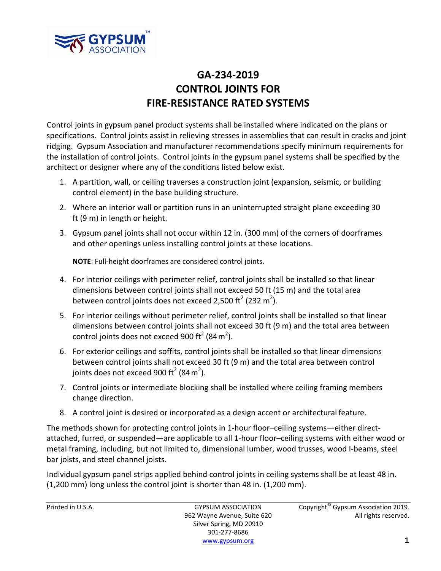

# **GA‐234‐2019 CONTROL JOINTS FOR FIRE‐RESISTANCE RATED SYSTEMS**

Control joints in gypsum panel product systems shall be installed where indicated on the plans or specifications. Control joints assist in relieving stresses in assemblies that can result in cracks and joint ridging. Gypsum Association and manufacturer recommendations specify minimum requirements for the installation of control joints. Control joints in the gypsum panel systems shall be specified by the architect or designer where any of the conditions listed below exist.

- 1. A partition, wall, or ceiling traverses a construction joint (expansion, seismic, or building control element) in the base building structure.
- 2. Where an interior wall or partition runs in an uninterrupted straight plane exceeding 30 ft (9 m) in length or height.
- 3. Gypsum panel joints shall not occur within 12 in. (300 mm) of the corners of doorframes and other openings unless installing control joints at these locations.

**NOTE**: Full‐height doorframes are considered control joints.

- 4. For interior ceilings with perimeter relief, control joints shall be installed so that linear dimensions between control joints shall not exceed 50 ft (15 m) and the total area between control joints does not exceed 2,500 ft<sup>2</sup> (232 m<sup>2</sup>).
- 5. For interior ceilings without perimeter relief, control joints shall be installed so that linear dimensions between control joints shall not exceed 30 ft (9 m) and the total area between control joints does not exceed 900 ft<sup>2</sup> (84 $m^2$ ).
- 6. For exterior ceilings and soffits, control joints shall be installed so that linear dimensions between control joints shall not exceed 30 ft (9 m) and the total area between control joints does not exceed 900 ft $^2$  (84 m $^2$ ).
- 7. Control joints or intermediate blocking shall be installed where ceiling framing members change direction.
- 8. A control joint is desired or incorporated as a design accent or architectural feature.

The methods shown for protecting control joints in 1‐hour floor–ceiling systems—either direct‐ attached, furred, or suspended—are applicable to all 1‐hour floor–ceiling systems with either wood or metal framing, including, but not limited to, dimensional lumber, wood trusses, wood I‐beams, steel bar joists, and steel channel joists.

Individual gypsum panel strips applied behind control joints in ceiling systems shall be at least 48 in. (1,200 mm) long unless the control joint is shorter than 48 in. (1,200 mm).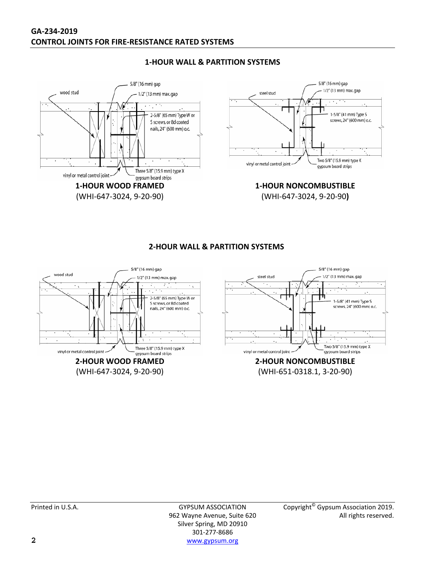#### **1‐HOUR WALL & PARTITION SYSTEMS**



## **2‐HOUR WALL & PARTITION SYSTEMS**



Silver Spring, MD 20910 301‐277‐8686 **2** www.gypsum.org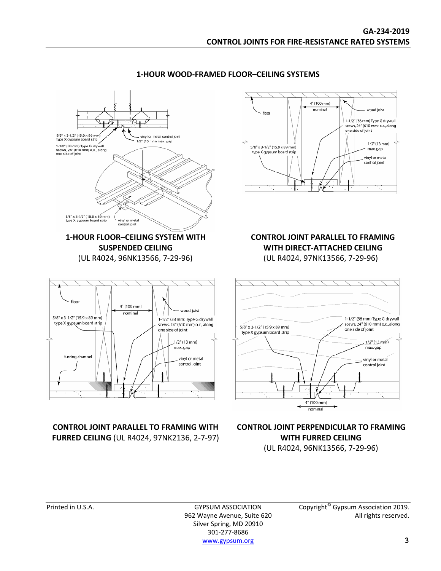

#### **1‐HOUR WOOD‐FRAMED FLOOR–CEILING SYSTEMS**

(UL R4024, 96NK13566, 7‐29‐96)

Silver Spring, MD 20910 301‐277‐8686 www.gypsum.org **3**